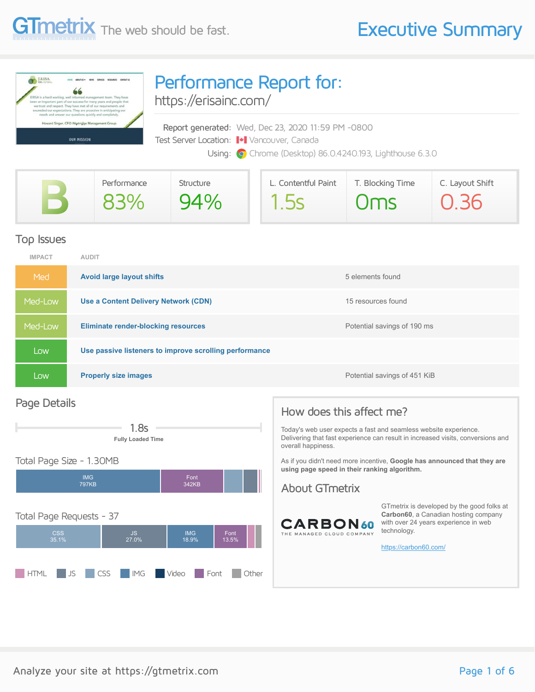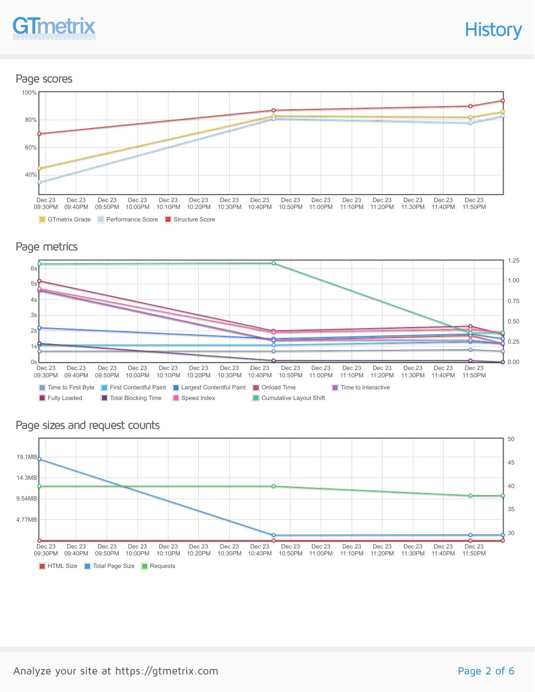### **GTmetrix**

**History** 

Page scores



Page metrics



#### Page sizes and request counts

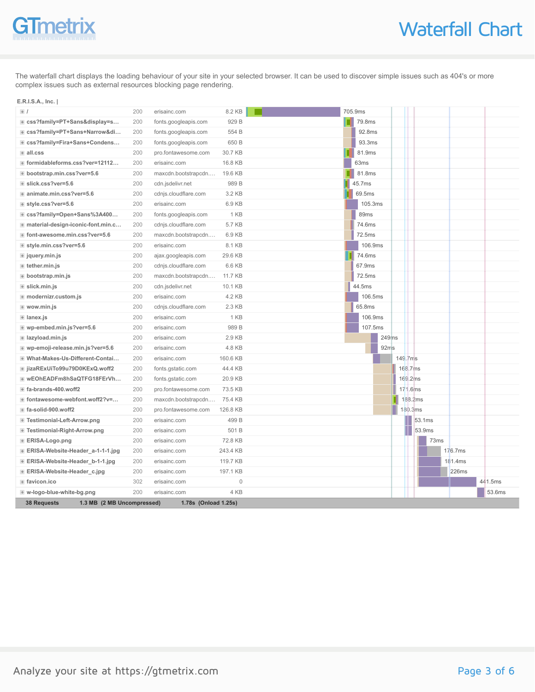## GTmetrix

The waterfall chart displays the loading behaviour of your site in your selected browser. It can be used to discover simple issues such as 404's or more complex issues such as external resources blocking page rendering.

| E.R.I.S.A., Inc.                                 |     |                      |             |         |         |       |         |         |        |              |         |
|--------------------------------------------------|-----|----------------------|-------------|---------|---------|-------|---------|---------|--------|--------------|---------|
| $+$ /                                            | 200 | erisainc.com         | 8.2 KB      | 705.9ms |         |       |         |         |        |              |         |
| + css?family=PT+Sans&display=s                   | 200 | fonts.googleapis.com | 929 B       |         | 79.8ms  |       |         |         |        |              |         |
| + css?family=PT+Sans+Narrow&di                   | 200 | fonts.googleapis.com | 554 B       |         | 92.8ms  |       |         |         |        |              |         |
| + css?family=Fira+Sans+Condens                   | 200 | fonts.googleapis.com | 650 B       |         | 93.3ms  |       |         |         |        |              |         |
| + all.css                                        | 200 | pro.fontawesome.com  | 30.7 KB     |         | 81.9ms  |       |         |         |        |              |         |
| + formidableforms.css?ver=12112                  | 200 | erisainc.com         | 16.8 KB     |         | 63ms    |       |         |         |        |              |         |
| + bootstrap.min.css?ver=5.6                      | 200 | maxcdn.bootstrapcdn  | 19.6 KB     |         | 81.8ms  |       |         |         |        |              |         |
| $+$ slick.css?ver=5.6                            | 200 | cdn.jsdelivr.net     | 989 B       |         | 45.7ms  |       |         |         |        |              |         |
| + animate.min.css?ver=5.6                        | 200 | cdnjs.cloudflare.com | 3.2 KB      |         | 69.5ms  |       |         |         |        |              |         |
| + style.css?ver=5.6                              | 200 | erisainc.com         | 6.9 KB      |         | 105.3ms |       |         |         |        |              |         |
| + css?family=Open+Sans%3A400                     | 200 | fonts.googleapis.com | 1 KB        |         | 89ms    |       |         |         |        |              |         |
| + material-design-iconic-font.min.c              | 200 | cdnjs.cloudflare.com | 5.7 KB      |         | 74.6ms  |       |         |         |        |              |         |
| + font-awesome.min.css?ver=5.6                   | 200 | maxcdn.bootstrapcdn  | 6.9 KB      |         | 72.5ms  |       |         |         |        |              |         |
| + style.min.css?ver=5.6                          | 200 | erisainc.com         | 8.1 KB      |         | 106.9ms |       |         |         |        |              |         |
| + jquery.min.js                                  | 200 | ajax.googleapis.com  | 29.6 KB     |         | 74.6ms  |       |         |         |        |              |         |
| + tether.min.js                                  | 200 | cdnjs.cloudflare.com | 6.6 KB      |         | 67.9ms  |       |         |         |        |              |         |
| + bootstrap.min.js                               | 200 | maxcdn.bootstrapcdn  | 11.7 KB     |         | 72.5ms  |       |         |         |        |              |         |
| + slick.min.js                                   | 200 | cdn.jsdelivr.net     | 10.1 KB     |         | 44.5ms  |       |         |         |        |              |         |
| + modernizr.custom.js                            | 200 | erisainc.com         | 4.2 KB      |         | 106.5ms |       |         |         |        |              |         |
| $+$ wow.min.js                                   | 200 | cdnjs.cloudflare.com | 2.3 KB      |         | 65.8ms  |       |         |         |        |              |         |
| + lanex.js                                       | 200 | erisainc.com         | 1 KB        |         | 106.9ms |       |         |         |        |              |         |
| + wp-embed.min.js?ver=5.6                        | 200 | erisainc.com         | 989 B       |         | 107.5ms |       |         |         |        |              |         |
| + lazyload.min.js                                | 200 | erisainc.com         | 2.9 KB      |         |         | 249ms |         |         |        |              |         |
| + wp-emoji-release.min.js?ver=5.6                | 200 | erisainc.com         | 4.8 KB      |         |         | 92ms  |         |         |        |              |         |
| + What-Makes-Us-Different-Contai                 | 200 | erisainc.com         | 160.6 KB    |         |         |       | 149.7ms |         |        |              |         |
| + jizaRExUiTo99u79D0KExQ.woff2                   | 200 | fonts.gstatic.com    | 44.4 KB     |         |         |       | 168.7ms |         |        |              |         |
| + wEOhEADFm8hSaQTFG18FErVh                       | 200 | fonts.gstatic.com    | 20.9 KB     |         |         |       | 169.2ms |         |        |              |         |
| $+$ fa-brands-400.woff2                          | 200 | pro.fontawesome.com  | 73.5 KB     |         |         |       | 171.6ms |         |        |              |         |
| + fontawesome-webfont.woff2?v=                   | 200 | maxcdn.bootstrapcdn  | 75.4 KB     |         |         |       |         | 188.2ms |        |              |         |
| $+$ fa-solid-900.woff2                           | 200 | pro.fontawesome.com  | 126.8 KB    |         |         |       | 180.3ms |         |        |              |         |
| + Testimonial-Left-Arrow.png                     | 200 | erisainc.com         | 499 B       |         |         |       |         |         | 53.1ms |              |         |
| + Testimonial-Right-Arrow.png                    | 200 | erisainc.com         | 501 B       |         |         |       |         |         | 53.9ms |              |         |
| + ERISA-Logo.png                                 | 200 | erisainc.com         | 72.8 KB     |         |         |       |         |         | 73ms   |              |         |
| + ERISA-Website-Header_a-1-1-1.jpg               | 200 | erisainc.com         | 243.4 KB    |         |         |       |         |         |        | 176.7ms      |         |
| + ERISA-Website-Header_b-1-1.jpg                 | 200 | erisainc.com         | 119.7 KB    |         |         |       |         |         |        | 181.4ms      |         |
| + ERISA-Website-Header_c.jpg                     | 200 | erisainc.com         | 197.1 KB    |         |         |       |         |         |        | <b>226ms</b> |         |
| + favicon.ico                                    | 302 | erisainc.com         | $\mathbf 0$ |         |         |       |         |         |        |              | 441.5ms |
| + w-logo-blue-white-bg.png                       | 200 | erisainc.com         | 4 KB        |         |         |       |         |         |        |              | 53.6ms  |
| <b>38 Requests</b><br>1.3 MB (2 MB Uncompressed) |     | 1.78s (Onload 1.25s) |             |         |         |       |         |         |        |              |         |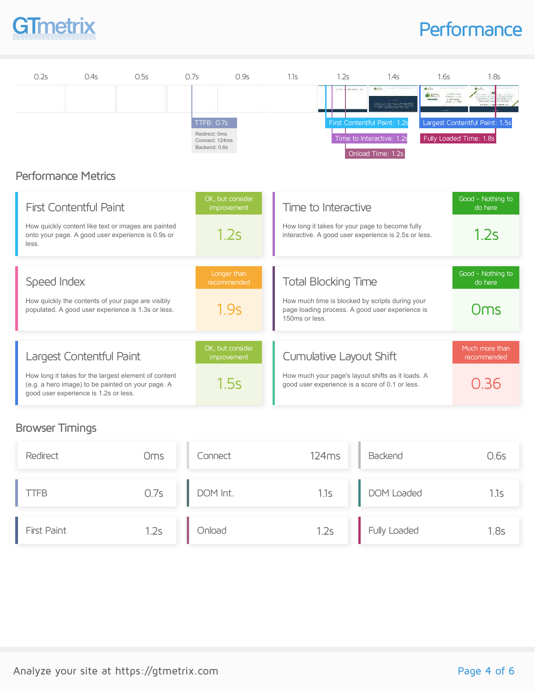# GTmel

### **Performance**



#### Browser Timings

| Redirect    | <b>Oms</b> | Connect  | 124ms | Backend      | 0.6s |
|-------------|------------|----------|-------|--------------|------|
| TFB         | 0.7s       | DOM Int. | 1.1s  | DOM Loaded   | 1.1s |
| First Paint | 1.2s       | Onload   | 1.2s  | Fully Loaded | 1.8s |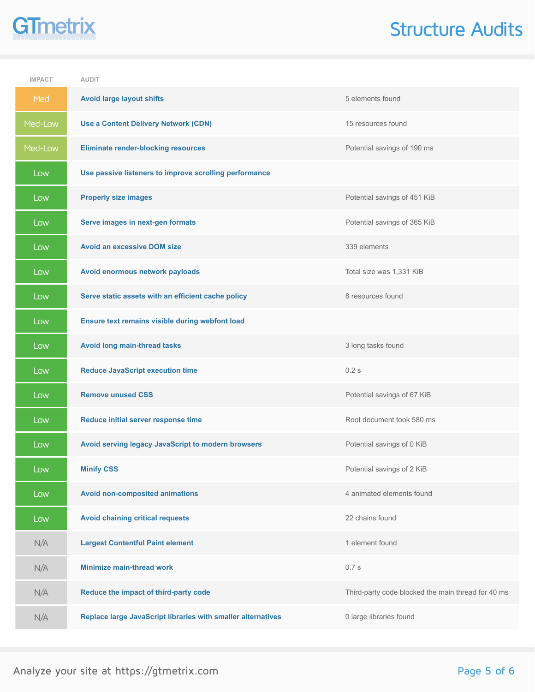# GTmetrix

#### Structure Audits

| <b>IMPACT</b> | <b>AUDIT</b>                                                 |                                                    |
|---------------|--------------------------------------------------------------|----------------------------------------------------|
| Med           | <b>Avoid large layout shifts</b>                             | 5 elements found                                   |
| Med-Low       | <b>Use a Content Delivery Network (CDN)</b>                  | 15 resources found                                 |
| Med-Low       | <b>Eliminate render-blocking resources</b>                   | Potential savings of 190 ms                        |
| Low           | Use passive listeners to improve scrolling performance       |                                                    |
| Low           | <b>Properly size images</b>                                  | Potential savings of 451 KiB                       |
| Low           | Serve images in next-gen formats                             | Potential savings of 365 KiB                       |
| Low           | <b>Avoid an excessive DOM size</b>                           | 339 elements                                       |
| Low           | Avoid enormous network payloads                              | Total size was 1,331 KiB                           |
| Low           | Serve static assets with an efficient cache policy           | 8 resources found                                  |
| Low           | Ensure text remains visible during webfont load              |                                                    |
| Low           | Avoid long main-thread tasks                                 | 3 long tasks found                                 |
| Low           | <b>Reduce JavaScript execution time</b>                      | 0.2s                                               |
| Low           | <b>Remove unused CSS</b>                                     | Potential savings of 67 KiB                        |
| Low           | Reduce initial server response time                          | Root document took 580 ms                          |
| Low           | Avoid serving legacy JavaScript to modern browsers           | Potential savings of 0 KiB                         |
| Low           | <b>Minify CSS</b>                                            | Potential savings of 2 KiB                         |
| Low           | <b>Avoid non-composited animations</b>                       | 4 animated elements found                          |
| Low           | <b>Avoid chaining critical requests</b>                      | 22 chains found                                    |
| N/A           | <b>Largest Contentful Paint element</b>                      | 1 element found                                    |
| N/A           | <b>Minimize main-thread work</b>                             | 0.7s                                               |
| N/A           | Reduce the impact of third-party code                        | Third-party code blocked the main thread for 40 ms |
| N/A           | Replace large JavaScript libraries with smaller alternatives | 0 large libraries found                            |